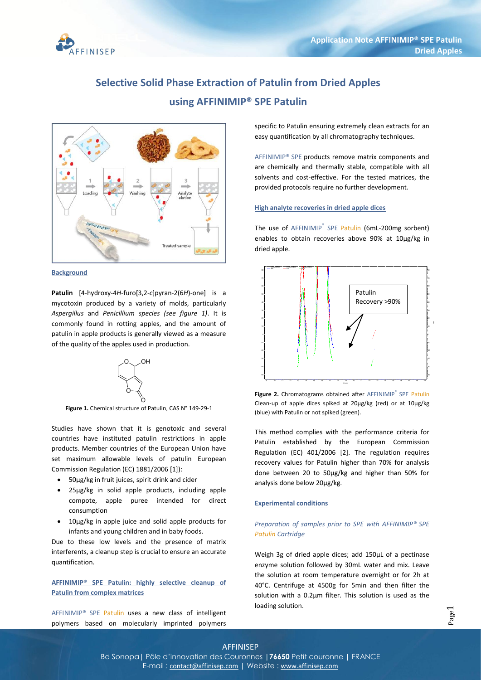

# **Selective Solid Phase Extraction of Patulin from Dried Apples using AFFINIMIP® SPE Patulin**



## **Background**

**Patulin** [4-hydroxy-4*H*-furo[3,2-*c*]pyran-2(6*H*)-one] is a mycotoxin produced by a variety of molds, particularly *Aspergillus* and *Penicillium species (see figure 1)*. It is commonly found in rotting apples, and the amount of patulin in apple products is generally viewed as a measure of the quality of the apples used in production.



**Figure 1.** Chemical structure of Patulin, CAS N° 149-29-1

Studies have shown that it is genotoxic and several countries have instituted patulin restrictions in apple products. Member countries of the European Union have set maximum allowable levels of patulin European Commission Regulation (EC) 1881/2006 [1]):

- 50µg/kg in fruit juices, spirit drink and cider
- 25µg/kg in solid apple products, including apple compote, apple puree intended for direct consumption
- 10µg/kg in apple juice and solid apple products for infants and young children and in baby foods.

Due to these low levels and the presence of matrix interferents, a cleanup step is crucial to ensure an accurate quantification.

**AFFINIMIP® SPE Patulin: highly selective cleanup of Patulin from complex matrices**

AFFINIMIP® SPE Patulin uses a new class of intelligent polymers based on molecularly imprinted polymers

specific to Patulin ensuring extremely clean extracts for an easy quantification by all chromatography techniques.

AFFINIMIP® SPE products remove matrix components and are chemically and thermally stable, compatible with all solvents and cost-effective. For the tested matrices, the provided protocols require no further development.

## **High analyte recoveries in dried apple dices**

The use of AFFINIMIP<sup>®</sup> SPE Patulin (6mL-200mg sorbent) enables to obtain recoveries above 90% at 10µg/kg in dried apple.



Figure 2. Chromatograms obtained after AFFINIMIP<sup>®</sup> SPE Patulin Clean-up of apple dices spiked at 20µg/kg (red) or at 10µg/kg (blue) with Patulin or not spiked (green).

This method complies with the performance criteria for Patulin established by the European Commission Regulation (EC) 401/2006 [2]. The regulation requires recovery values for Patulin higher than 70% for analysis done between 20 to 50µg/kg and higher than 50% for analysis done below 20µg/kg.

#### **Experimental conditions**

# *Preparation of samples prior to SPE with AFFINIMIP® SPE Patulin Cartridge*

Weigh 3g of dried apple dices; add 150µL of a pectinase enzyme solution followed by 30mL water and mix. Leave the solution at room temperature overnight or for 2h at 40°C. Centrifuge at 4500g for 5min and then filter the solution with a 0.2µm filter. This solution is used as the loading solution.

# AFFINISEP